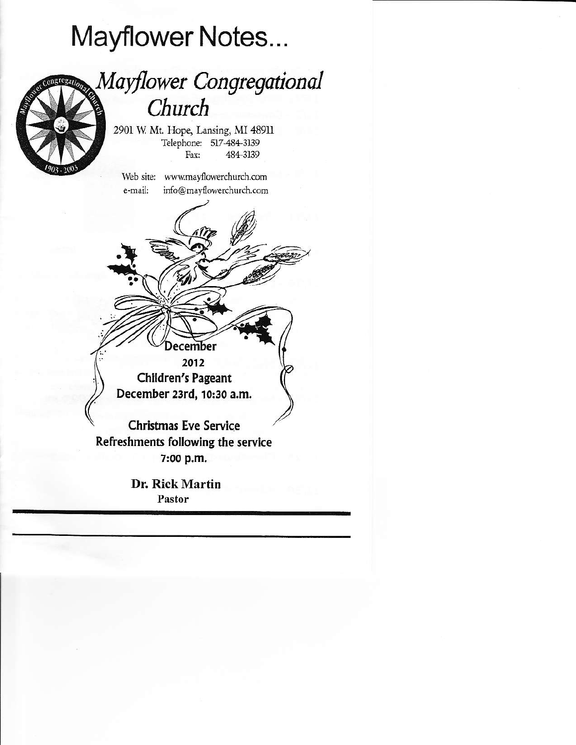# Mayflower Notes...

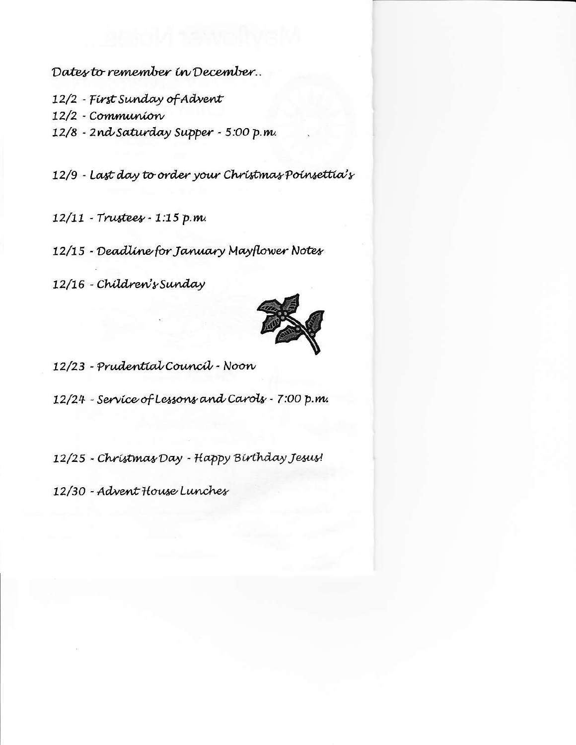Dates to remember in December..

12/2 - First Sunday of Advent 12/2 - Communíon 12/8 - 2nd Saturday Supper - 5:00 p.m.

12/9 - Last day to order your Christmas Poinsettia's

12/11 - Trustees - 1:15 p.m.

12/15 - Deadline for January Mayflower Notes

12/16 - Children's Sunday



12/23 - Prudential Council - Noon

12/24 - Service of Lessons and Carols - 7:00 p.m.

12/25 - Christmas Day - Happy Birthday Jesus!

12/30 - Advent House Lunches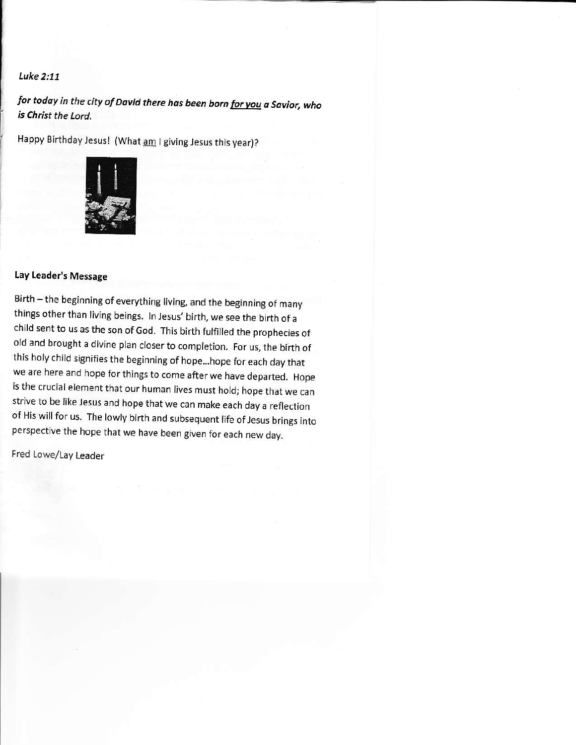#### Luke 2:11

# for today in the city of David there has been born <u>for you</u> a Savior, who is Christ the Lord.

Happy Birthday Jesus! (What am I giving Jesus this year)?



## Lay Leader's Message

Birth - the beginning of everything living, and the beginning of many things other than living beings. In Jesus' birth, we see the birth of a child sent to us as the son of God. This birth fulfilled the prophecies of old and brought a divine plan closer to completion. For us, the birth of this holy child signifies the beginning of hope...hope for each day that we are here and hope for things to come after we have departed. Hope is the crucial element that our human lives must hold; hope that we can strive to be like Jesus and hope that we can make each day a reflection of His will for us. The lowly birth and subsequent life of Jesus brings into perspective the hope that we have been given for each new day.

Fred Lowe/Lay Leader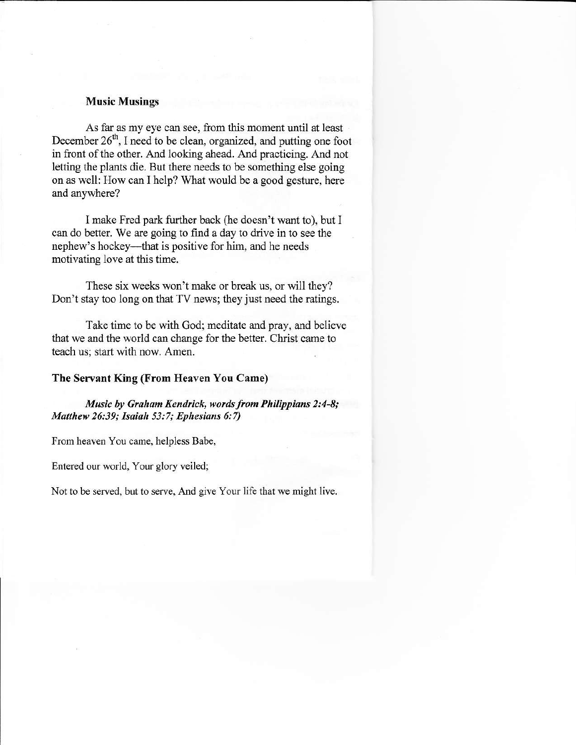#### Music Musings

As far as my eye can see, ftom this moment until at least December  $26<sup>th</sup>$ , I need to be clean, organized, and putting one foot in front of the other. And looking ahead. And practicing. And not letting the plants die. But there needs to be something else going on as well: How can I help? What would be a good gesture, here and anywhere?

I make Fred park further back (he doesn't want to), but I can do better. We are going to find a day to drive in to see the nephew's hockey-that is positive for him, and he needs motivating love at this time,

These six weeks won't make or break us, or will they? Don't stay too long on that TV news; they just need the ratings.

Take time to be with God; meditate and pray, and believe that we and the world can change for the better. Christ came to teach us; start with now. Amen.

#### The Servant King (From Heaven You Came)

Music by Graham Kendrick, words from Philippians 2:4-8; Matthew 26:39; Isaiah 53:7; Ephesians 6:7)

From heaven You came, helpless Babe,

Entered our world, Your glory veiled;

Not to be served, but to serve, And give Your life that we might live.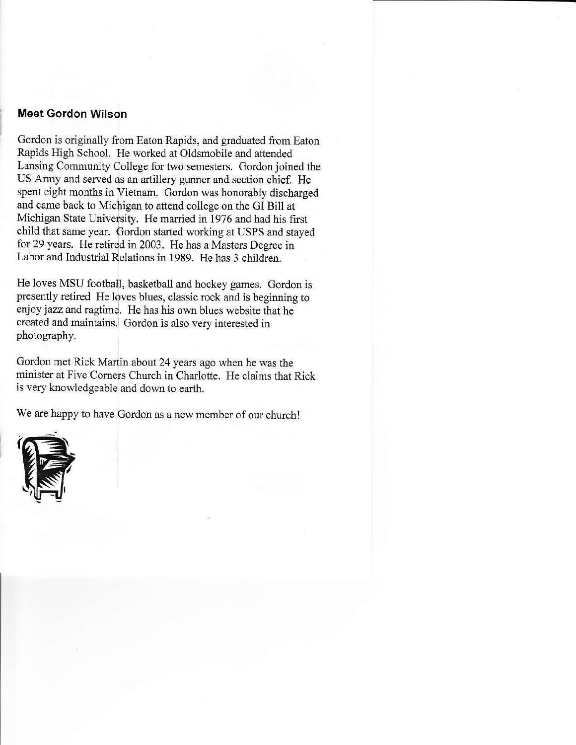## Meet Gordon Wilson

Gordon is originally from Eaton Rapids, and graduated from Eaton Rapids High School. He worked at Oldsmobile and attended Lansing Community College for two semesters. Gordon joined the US Army and served as an artillery gunner and section chief. He spent eight months in Vietnam. Gordon was honorably discharged and came back to Michigan to attend college on the GI Bill at Michigan State University. He married in 1976 and had his first child that same year. Gordon started working at USPS and stayed for 29 years. He retired in 2003. He has a Masters Degree in Labor and Industrial Relations in 1989. He has 3 children.

He loves MSU football, basketball and hockey games. Gordon is presently retired He loves blues, classic rock and is beginning to enjoy jazz and ragtime. He has his own blues website that he created and maintains. Gordon is also very interested in photography.

Gordon met Rick Martin about 24 years ago when he was the minister at Five Corners Church in Charlotte. He claims that Rick is very knowledgeable and down to earth.

We are happy to have Gordon as a new member of our church!

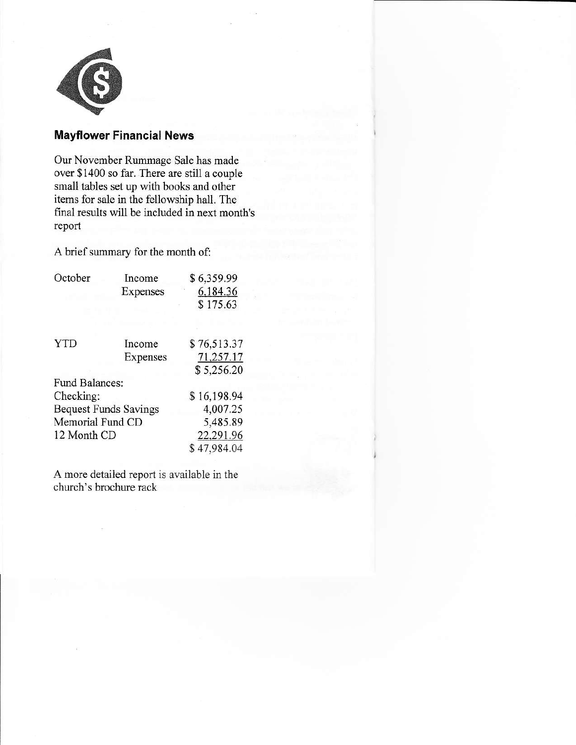

## Mayflower Financial News

Our November Rummage Sale has made over \$1400 so far. There are still a couple small tables set up with books and other items for sale in the fellowship hall. The final results will be included in next month's report

A brief summary for the month of:

| October                      | Income   | \$6,359.99  |
|------------------------------|----------|-------------|
|                              | Expenses | 6,184.36    |
|                              |          | \$175.63    |
| <b>YTD</b>                   | Income   | \$76,513.37 |
|                              | Expenses | 71,257.17   |
|                              |          | \$5,256.20  |
| <b>Fund Balances:</b>        |          |             |
| Checking:                    |          | \$16,198.94 |
| <b>Bequest Funds Savings</b> |          | 4,007.25    |
| Memorial Fund CD             |          | 5,485.89    |
| 12 Month CD                  |          | 22,291.96   |
|                              |          | \$47,984.04 |

A more detailed report is available in the church's brochure rack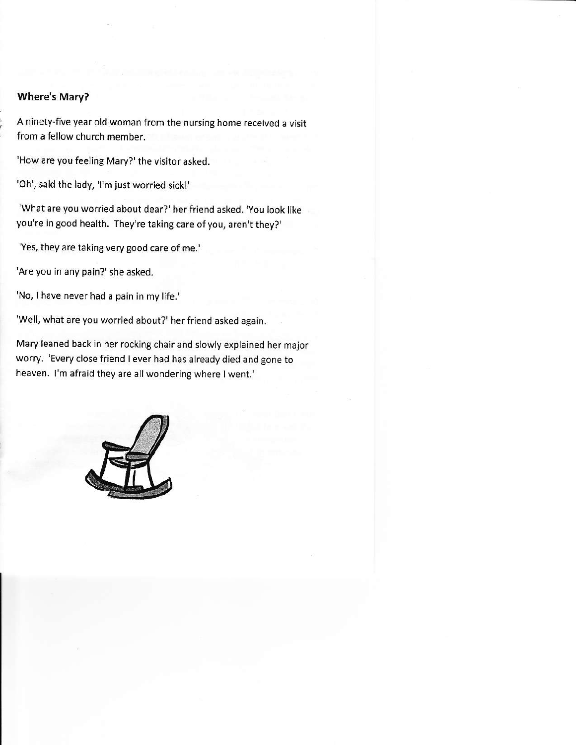### Where's Mary?

A ninety-five year old woman from the nursing home received a visit from a fellow church member.

'How are you feeling Mary?' the visitor asked.

'Oh', said the lady, 'l'm just worried sickl'

'What are you worried about dear?' her friend asked. 'You look like you're in good health. They're taking care of you, aren't they?'

'Yes, they are taking very good care of me.'

'Are you in any pain?' she asked.

'No, I have never had a pain in my life.'

'Well, what are you worried about?' her friend asked again.

Mary leaned back in her rocking chair and slowly explained her major worry. 'Every close friend I ever had has already died and gone to heaven. l'm afraid they are all wondering where I went.'

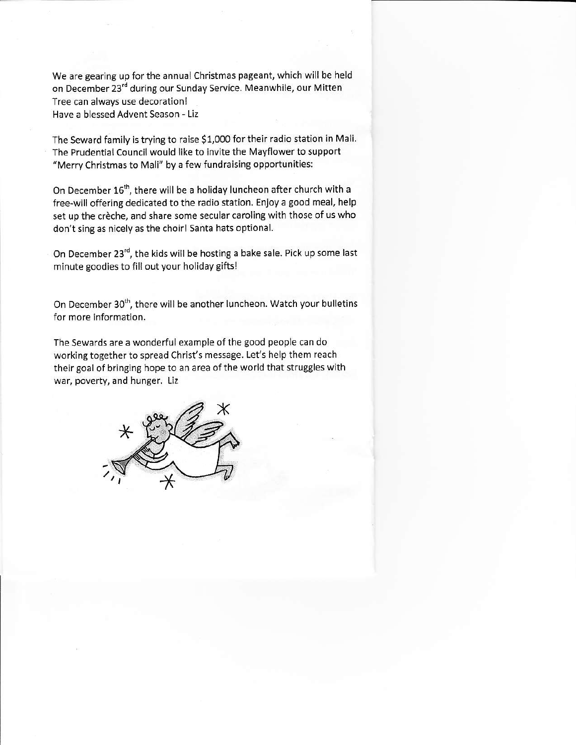we are gearing up for the annual christmas pageant, which will be held on December 23<sup>rd</sup> during our Sunday Service. Meanwhile, our Mitten Tree can always use decoration! Have a blessed Advent Season - Liz

The Seward family is trying to raise \$1,000 for their radio station in Mali. The Prudential Council would like to invite the Mayflower to support "Merry Christmas to Mali" by a few fundraising opportunities:

On December 16<sup>th</sup>, there will be a holiday luncheon after church with a free-will offering ded'cated to the radio station. Enjoy a good meal, help set up the crèche, and share some secular caroling with those of us who don't sing as nicely as the choirl Santa hats optional.

On December 23<sup>rd</sup>, the kids will be hosting a bake sale. Pick up some last minute goodies to fill out your holiday gifts!

On December 30<sup>th</sup>, there will be another luncheon. Watch your bulletins for more information.

The Sewards are a wonderful example of the good people can do working together to spread Christ's message. Let's help them reach their goal of bringing hope to an area of the world that struggles with war, poverty, and hunger. Liz

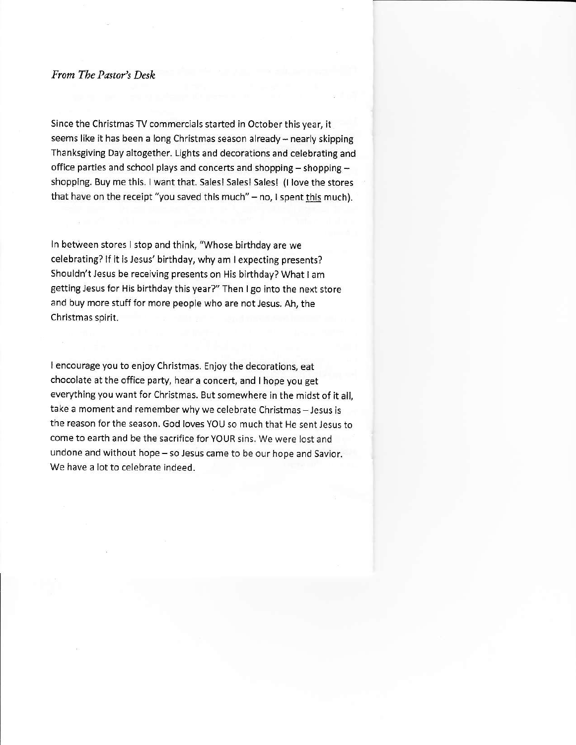#### From Tbe Pastor's Desh

Since the Christmas TV commercials started in October this year, it seems like it has been a long Christmas season already - nearly skipping Thanksgiving Day altogether. Lights and decorations and celebrating and office parties and school plays and concerts and shopping - shopping  $$ shopping. Buy me this. I want that. Salesl Salesl Sales! (l love the stores that have on the receipt "you saved this much"  $-$  no, I spent this much).

ln between stores I stop and think, "Whose birthday are we celebrating? lf it is Jesus' birthday, why am I expecting presents? Shouldn't Jesus be receiving presents on His birthday? What I am getting Jesus for His birthday this year?" Then I go into the next store and buy more stuff for more people who are not Jesus. Ah, the Christmas spirit.

lencourage you to enjoy Christmas. Enjoythe decorations, eat chocolate at the office party, hear a concert, and I hope you get everything you want for Christmas. But somewhere in the midst of it all, take a moment and remember why we celebrate Christmas - Jesus is the reason forthe season. God Ioves YOU so much that He sent Jesus to come to earth and be the sacrifice for YOUR sins. We were lost and undone and without hope - so Jesus came to be our hope and Savior. We have a lot to celebrate indeed.